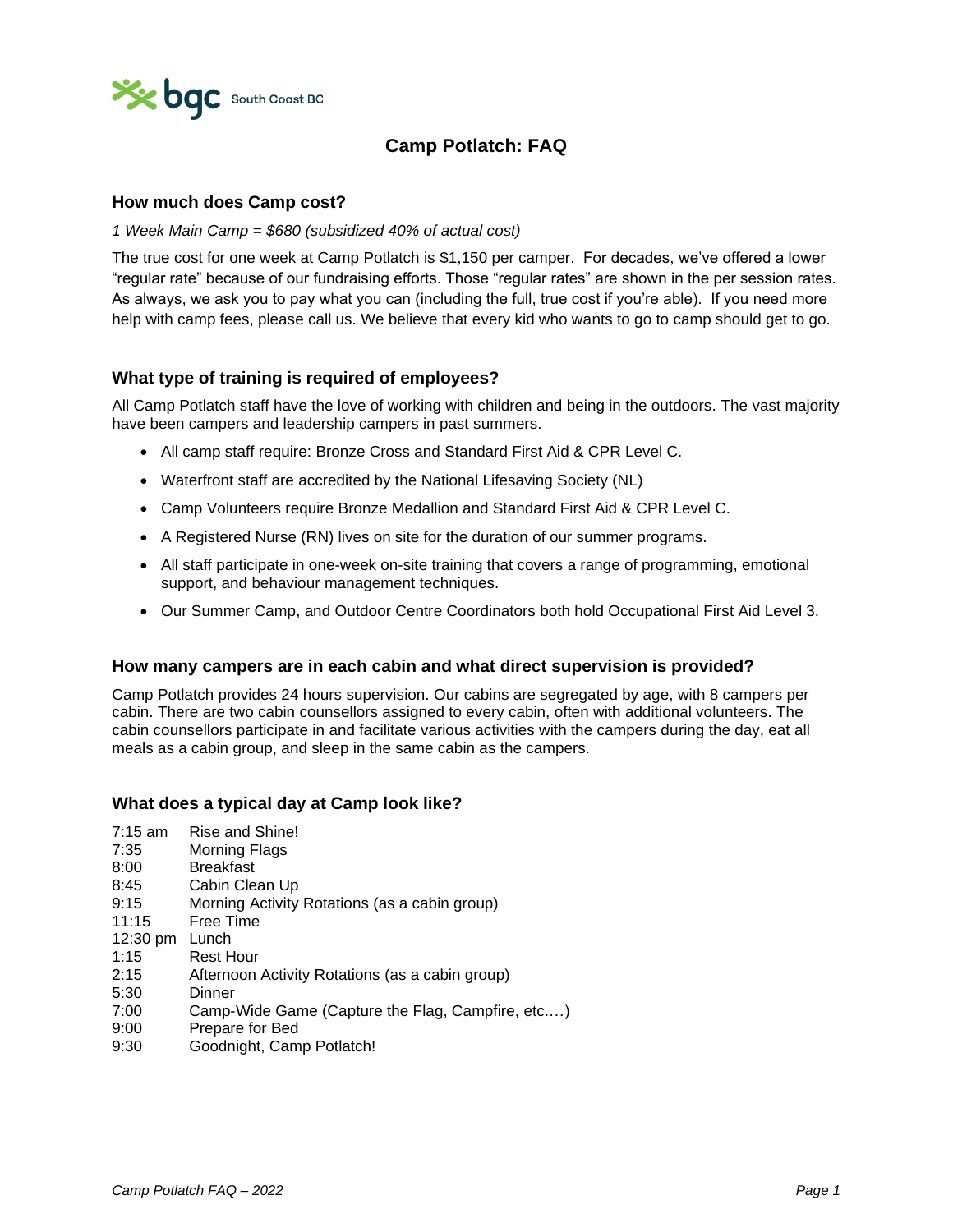

# **Camp Potlatch: FAQ**

### **How much does Camp cost?**

#### *1 Week Main Camp = \$680 (subsidized 40% of actual cost)*

The true cost for one week at Camp Potlatch is \$1,150 per camper. For decades, we've offered a lower "regular rate" because of our fundraising efforts. Those "regular rates" are shown in the per session rates. As always, we ask you to pay what you can (including the full, true cost if you're able). If you need more help with camp fees, please call us. We believe that every kid who wants to go to camp should get to go.

### **What type of training is required of employees?**

All Camp Potlatch staff have the love of working with children and being in the outdoors. The vast majority have been campers and leadership campers in past summers.

- All camp staff require: Bronze Cross and Standard First Aid & CPR Level C.
- Waterfront staff are accredited by the National Lifesaving Society (NL)
- Camp Volunteers require Bronze Medallion and Standard First Aid & CPR Level C.
- A Registered Nurse (RN) lives on site for the duration of our summer programs.
- All staff participate in one-week on-site training that covers a range of programming, emotional support, and behaviour management techniques.
- Our Summer Camp, and Outdoor Centre Coordinators both hold Occupational First Aid Level 3.

### **How many campers are in each cabin and what direct supervision is provided?**

Camp Potlatch provides 24 hours supervision. Our cabins are segregated by age, with 8 campers per cabin. There are two cabin counsellors assigned to every cabin, often with additional volunteers. The cabin counsellors participate in and facilitate various activities with the campers during the day, eat all meals as a cabin group, and sleep in the same cabin as the campers.

### **What does a typical day at Camp look like?**

- 7:15 am Rise and Shine!
- 7:35 Morning Flags
- 8:00 Breakfast
- 8:45 Cabin Clean Up
- 9:15 Morning Activity Rotations (as a cabin group)
- 11:15 Free Time
- 12:30 pm Lunch
- 1:15 Rest Hour
- 2:15 Afternoon Activity Rotations (as a cabin group)
- 5:30 Dinner
- 7:00 Camp-Wide Game (Capture the Flag, Campfire, etc.…)
- 9:00 Prepare for Bed
- 9:30 Goodnight, Camp Potlatch!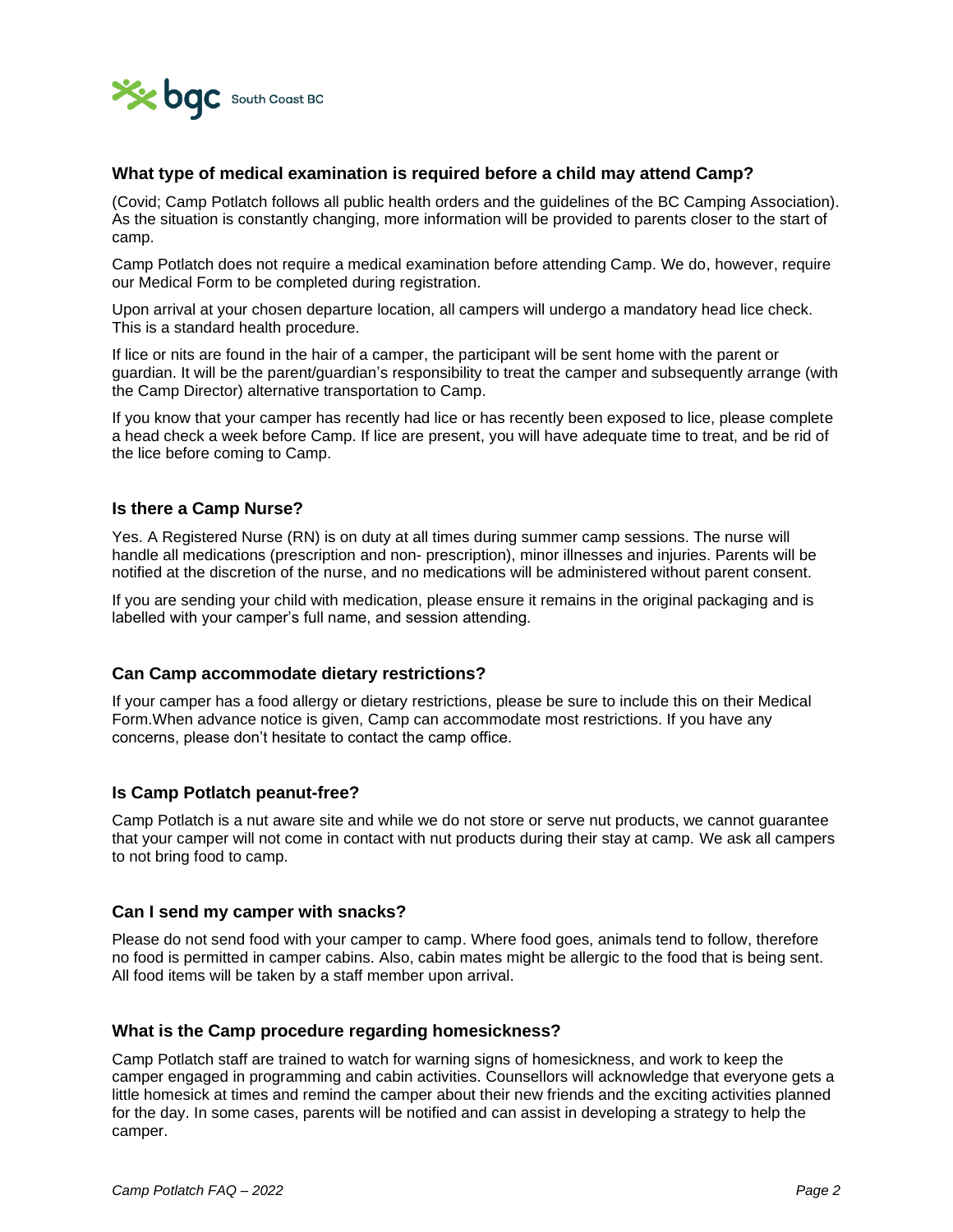

### **What type of medical examination is required before a child may attend Camp?**

(Covid; Camp Potlatch follows all public health orders and the guidelines of the BC Camping Association). As the situation is constantly changing, more information will be provided to parents closer to the start of camp.

Camp Potlatch does not require a medical examination before attending Camp. We do, however, require our Medical Form to be completed during registration.

Upon arrival at your chosen departure location, all campers will undergo a mandatory head lice check. This is a standard health procedure.

If lice or nits are found in the hair of a camper, the participant will be sent home with the parent or guardian. It will be the parent/guardian's responsibility to treat the camper and subsequently arrange (with the Camp Director) alternative transportation to Camp.

If you know that your camper has recently had lice or has recently been exposed to lice, please complete a head check a week before Camp. If lice are present, you will have adequate time to treat, and be rid of the lice before coming to Camp.

### **Is there a Camp Nurse?**

Yes. A Registered Nurse (RN) is on duty at all times during summer camp sessions. The nurse will handle all medications (prescription and non- prescription), minor illnesses and injuries. Parents will be notified at the discretion of the nurse, and no medications will be administered without parent consent.

If you are sending your child with medication, please ensure it remains in the original packaging and is labelled with your camper's full name, and session attending.

### **Can Camp accommodate dietary restrictions?**

If your camper has a food allergy or dietary restrictions, please be sure to include this on their Medical Form.When advance notice is given, Camp can accommodate most restrictions. If you have any concerns, please don't hesitate to contact the camp office.

### **Is Camp Potlatch peanut-free?**

Camp Potlatch is a nut aware site and while we do not store or serve nut products, we cannot guarantee that your camper will not come in contact with nut products during their stay at camp. We ask all campers to not bring food to camp.

### **Can I send my camper with snacks?**

Please do not send food with your camper to camp. Where food goes, animals tend to follow, therefore no food is permitted in camper cabins. Also, cabin mates might be allergic to the food that is being sent. All food items will be taken by a staff member upon arrival.

### **What is the Camp procedure regarding homesickness?**

Camp Potlatch staff are trained to watch for warning signs of homesickness, and work to keep the camper engaged in programming and cabin activities. Counsellors will acknowledge that everyone gets a little homesick at times and remind the camper about their new friends and the exciting activities planned for the day. In some cases, parents will be notified and can assist in developing a strategy to help the camper.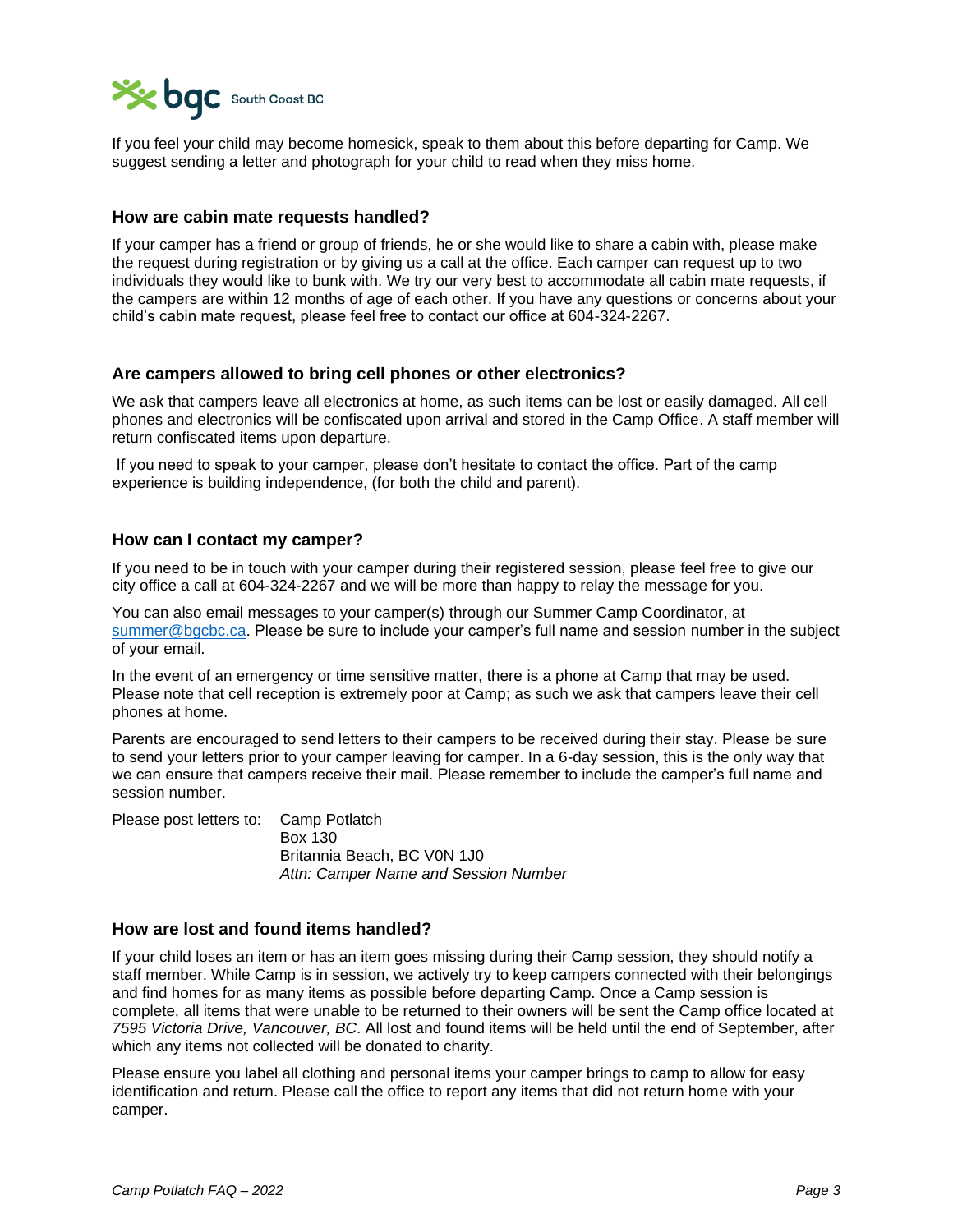

If you feel your child may become homesick, speak to them about this before departing for Camp. We suggest sending a letter and photograph for your child to read when they miss home.

### **How are cabin mate requests handled?**

If your camper has a friend or group of friends, he or she would like to share a cabin with, please make the request during registration or by giving us a call at the office. Each camper can request up to two individuals they would like to bunk with. We try our very best to accommodate all cabin mate requests, if the campers are within 12 months of age of each other. If you have any questions or concerns about your child's cabin mate request, please feel free to contact our office at 604-324-2267.

### **Are campers allowed to bring cell phones or other electronics?**

We ask that campers leave all electronics at home, as such items can be lost or easily damaged. All cell phones and electronics will be confiscated upon arrival and stored in the Camp Office. A staff member will return confiscated items upon departure.

If you need to speak to your camper, please don't hesitate to contact the office. Part of the camp experience is building independence, (for both the child and parent).

### **How can I contact my camper?**

If you need to be in touch with your camper during their registered session, please feel free to give our city office a call at 604-324-2267 and we will be more than happy to relay the message for you.

You can also email messages to your camper(s) through our Summer Camp Coordinator, at [summer@bgcbc.ca.](mailto:summer@bgcbc.ca) Please be sure to include your camper's full name and session number in the subject of your email.

In the event of an emergency or time sensitive matter, there is a phone at Camp that may be used. Please note that cell reception is extremely poor at Camp; as such we ask that campers leave their cell phones at home.

Parents are encouraged to send letters to their campers to be received during their stay. Please be sure to send your letters prior to your camper leaving for camper. In a 6-day session, this is the only way that we can ensure that campers receive their mail. Please remember to include the camper's full name and session number.

Please post letters to: Camp Potlatch Box 130 Britannia Beach, BC V0N 1J0 *Attn: Camper Name and Session Number* 

### **How are lost and found items handled?**

If your child loses an item or has an item goes missing during their Camp session, they should notify a staff member. While Camp is in session, we actively try to keep campers connected with their belongings and find homes for as many items as possible before departing Camp. Once a Camp session is complete, all items that were unable to be returned to their owners will be sent the Camp office located at *7595 Victoria Drive, Vancouver, BC*. All lost and found items will be held until the end of September, after which any items not collected will be donated to charity.

Please ensure you label all clothing and personal items your camper brings to camp to allow for easy identification and return. Please call the office to report any items that did not return home with your camper.